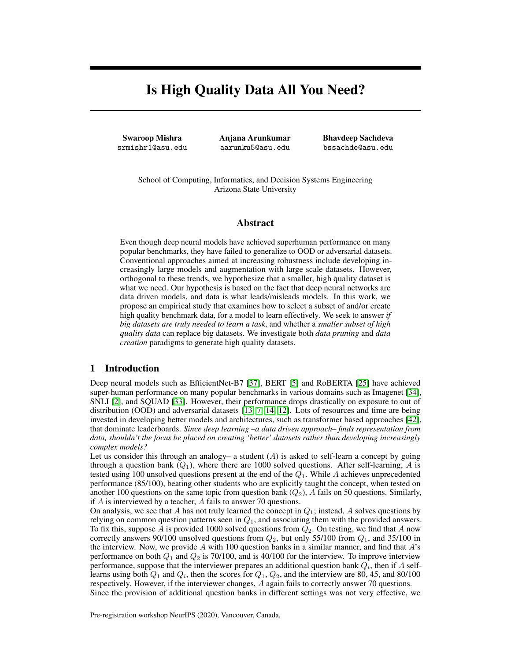# Is High Quality Data All You Need?

Swaroop Mishra srmishr1@asu.edu Anjana Arunkumar aarunku5@asu.edu Bhavdeep Sachdeva bssachde@asu.edu

School of Computing, Informatics, and Decision Systems Engineering Arizona State University

### Abstract

Even though deep neural models have achieved superhuman performance on many popular benchmarks, they have failed to generalize to OOD or adversarial datasets. Conventional approaches aimed at increasing robustness include developing increasingly large models and augmentation with large scale datasets. However, orthogonal to these trends, we hypothesize that a smaller, high quality dataset is what we need. Our hypothesis is based on the fact that deep neural networks are data driven models, and data is what leads/misleads models. In this work, we propose an empirical study that examines how to select a subset of and/or create high quality benchmark data, for a model to learn effectively. We seek to answer *if big datasets are truly needed to learn a task*, and whether a *smaller subset of high quality data* can replace big datasets. We investigate both *data pruning* and *data creation* paradigms to generate high quality datasets.

### 1 Introduction

Deep neural models such as EfficientNet-B7 [\[37\]](#page-6-0), BERT [\[5\]](#page-5-0) and RoBERTA [\[25\]](#page-6-1) have achieved super-human performance on many popular benchmarks in various domains such as Imagenet [\[34\]](#page-6-2), SNLI [\[2\]](#page-5-1), and SQUAD [\[33\]](#page-6-3). However, their performance drops drastically on exposure to out of distribution (OOD) and adversarial datasets [\[13,](#page-5-2) [7,](#page-5-3) [14,](#page-5-4) [12\]](#page-5-5). Lots of resources and time are being invested in developing better models and architectures, such as transformer based approaches [\[42\]](#page-6-4), that dominate leaderboards. *Since deep learning –a data driven approach– finds representation from data, shouldn't the focus be placed on creating 'better' datasets rather than developing increasingly complex models?*

Let us consider this through an analogy– a student  $(A)$  is asked to self-learn a concept by going through a question bank  $(Q_1)$ , where there are 1000 solved questions. After self-learning, A is tested using 100 unsolved questions present at the end of the  $Q_1$ . While A achieves unprecedented performance (85/100), beating other students who are explicitly taught the concept, when tested on another 100 questions on the same topic from question bank  $(Q_2)$ , A fails on 50 questions. Similarly, if A is interviewed by a teacher, A fails to answer 70 questions.

On analysis, we see that A has not truly learned the concept in  $Q_1$ ; instead, A solves questions by relying on common question patterns seen in  $Q_1$ , and associating them with the provided answers. To fix this, suppose A is provided 1000 solved questions from  $Q_2$ . On testing, we find that A now correctly answers 90/100 unsolved questions from  $Q_2$ , but only 55/100 from  $Q_1$ , and 35/100 in the interview. Now, we provide  $A$  with 100 question banks in a similar manner, and find that  $A$ 's performance on both  $Q_1$  and  $Q_2$  is 70/100, and is 40/100 for the interview. To improve interview performance, suppose that the interviewer prepares an additional question bank  $Q_i$ , then if A selflearns using both  $Q_1$  and  $Q_i$ , then the scores for  $Q_1$ ,  $Q_2$ , and the interview are 80, 45, and 80/100 respectively. However, if the interviewer changes, A again fails to correctly answer 70 questions. Since the provision of additional question banks in different settings was not very effective, we

Pre-registration workshop NeurIPS (2020), Vancouver, Canada.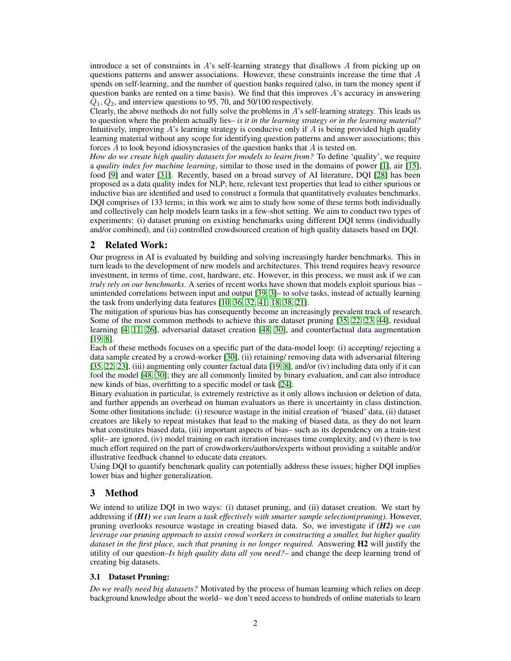introduce a set of constraints in A's self-learning strategy that disallows A from picking up on questions patterns and answer associations. However, these constraints increase the time that  $A$ spends on self-learning, and the number of question banks required (also, in turn the money spent if question banks are rented on a time basis). We find that this improves  $A$ 's accuracy in answering  $Q_1, Q_2$ , and interview questions to 95, 70, and 50/100 respectively.

Clearly, the above methods do not fully solve the problems in A's self-learning strategy. This leads us to question where the problem actually lies– *is it in the learning strategy or in the learning material?* Intuitively, improving  $A$ 's learning strategy is conducive only if  $A$  is being provided high quality learning material without any scope for identifying question patterns and answer associations; this forces A to look beyond idiosyncrasies of the question banks that A is tested on.

*How do we create high quality datasets for models to learn from?* To define 'quality', we require a *quality index for machine learning*, similar to those used in the domains of power [\[1\]](#page-4-0), air [\[15\]](#page-5-6), food [\[9\]](#page-5-7) and water [\[31\]](#page-6-5). Recently, based on a broad survey of AI literature, DQI [\[28\]](#page-6-6) has been proposed as a data quality index for NLP; here, relevant text properties that lead to either spurious or inductive bias are identified and used to construct a formula that quantitatively evaluates benchmarks. DQI comprises of 133 terms; in this work we aim to study how some of these terms both individually and collectively can help models learn tasks in a few-shot setting. We aim to conduct two types of experiments: (i) dataset pruning on existing benchmarks using different DQI terms (individually and/or combined), and (ii) controlled crowdsourced creation of high quality datasets based on DQI.

### <span id="page-1-0"></span>2 Related Work:

Our progress in AI is evaluated by building and solving increasingly harder benchmarks. This in turn leads to the development of new models and architectures. This trend requires heavy resource investment, in terms of time, cost, hardware, etc. However, in this process, we must ask if we can *truly rely on our benchmarks*. A series of recent works have shown that models exploit spurious bias – unintended correlations between input and output [\[39,](#page-6-7) [3\]](#page-5-8)– to solve tasks, instead of actually learning the task from underlying data features [\[10,](#page-5-9) [36,](#page-6-8) [32,](#page-6-9) [41,](#page-6-10) [18,](#page-5-10) [38,](#page-6-11) [21\]](#page-5-11).

The mitigation of spurious bias has consequently become an increasingly prevalent track of research. Some of the most common methods to achieve this are dataset pruning [\[35,](#page-6-12) [22,](#page-5-12) [23,](#page-6-13) [44\]](#page-7-0), residual learning [\[4,](#page-5-13) [11,](#page-5-14) [26\]](#page-6-14), adversarial dataset creation [\[48,](#page-7-1) [30\]](#page-6-15), and counterfactual data augmentation [\[19,](#page-5-15) [8\]](#page-5-16).

Each of these methods focuses on a specific part of the data-model loop: (i) accepting/ rejecting a data sample created by a crowd-worker [\[30\]](#page-6-15), (ii) retaining/ removing data with adversarial filtering [\[35,](#page-6-12) [22,](#page-5-12) [23\]](#page-6-13), (iii) augmenting only counter factual data [\[19,](#page-5-15) [8\]](#page-5-16), and/or (iv) including data only if it can fool the model [\[48,](#page-7-1) [30\]](#page-6-15); they are all commonly limited by binary evaluation, and can also introduce new kinds of bias, overfitting to a specific model or task [\[24\]](#page-6-16).

Binary evaluation in particular, is extremely restrictive as it only allows inclusion or deletion of data, and further appends an overhead on human evaluators as there is uncertainty in class distinction. Some other limitations include: (i) resource wastage in the initial creation of 'biased' data, (ii) dataset creators are likely to repeat mistakes that lead to the making of biased data, as they do not learn what constitutes biased data, (iii) important aspects of bias– such as its dependency on a train-test split– are ignored, (iv) model training on each iteration increases time complexity, and (v) there is too much effort required on the part of crowdworkers/authors/experts without providing a suitable and/or illustrative feedback channel to educate data creators.

Using DQI to quantify benchmark quality can potentially address these issues; higher DQI implies lower bias and higher generalization.

## 3 Method

We intend to utilize DQI in two ways: (i) dataset pruning, and (ii) dataset creation. We start by addressing if *(H1) we can learn a task effectively with smarter sample selection(pruning).* However, pruning overlooks resource wastage in creating biased data. So, we investigate if *(H2) we can leverage our pruning approach to assist crowd workers in constructing a smaller, but higher quality dataset in the first place, such that pruning is no longer required.* Answering H2 will justify the utility of our question–*Is high quality data all you need?*– and change the deep learning trend of creating big datasets.

#### 3.1 Dataset Pruning:

*Do we really need big datasets?* Motivated by the process of human learning which relies on deep background knowledge about the world– we don't need access to hundreds of online materials to learn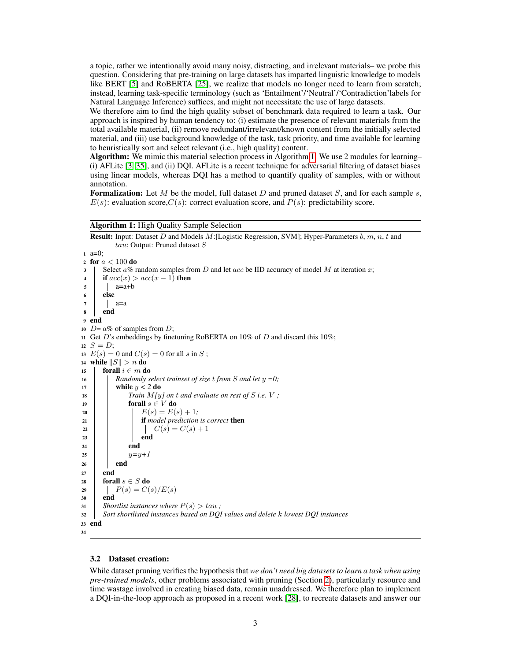a topic, rather we intentionally avoid many noisy, distracting, and irrelevant materials– we probe this question. Considering that pre-training on large datasets has imparted linguistic knowledge to models like BERT [\[5\]](#page-5-0) and RoBERTA [\[25\]](#page-6-1), we realize that models no longer need to learn from scratch; instead, learning task-specific terminology (such as 'Entailment'/'Neutral'/'Contradiction'labels for Natural Language Inference) suffices, and might not necessitate the use of large datasets.

We therefore aim to find the high quality subset of benchmark data required to learn a task. Our approach is inspired by human tendency to: (i) estimate the presence of relevant materials from the total available material, (ii) remove redundant/irrelevant/known content from the initially selected material, and (iii) use background knowledge of the task, task priority, and time available for learning to heuristically sort and select relevant (i.e., high quality) content.

Algorithm: We mimic this material selection process in Algorithm [1.](#page-2-0) We use 2 modules for learning– (i) AFLite [\[3,](#page-5-8) [35\]](#page-6-12), and (ii) DQI. AFLite is a recent technique for adversarial filtering of dataset biases using linear models, whereas DQI has a method to quantify quality of samples, with or without annotation.

**Formalization:** Let M be the model, full dataset D and pruned dataset S, and for each sample s,  $E(s)$ : evaluation score, $C(s)$ : correct evaluation score, and  $P(s)$ : predictability score.

#### Algorithm 1: High Quality Sample Selection

**Result:** Input: Dataset  $D$  and Models  $M$ : [Logistic Regression, SVM]; Hyper-Parameters  $b, m, n, t$  and tau; Output: Pruned dataset S <sup>1</sup> a=0; 2 for  $a < 100$  do  $\overline{\mathcal{S}}$  Select a% random samples from D and let acc be IID accuracy of model M at iteration x; 4 | if  $acc(x) > acc(x - 1)$  then  $5$  a=a+b <sup>6</sup> else  $7 \mid$  a=a <sup>8</sup> end <sup>9</sup> end 10  $D = a\%$  of samples from D: 11 Get D's embeddings by finetuning RoBERTA on 10% of D and discard this 10%; 12  $S = D$ ; 13  $E(s) = 0$  and  $C(s) = 0$  for all s in S; 14 while  $||S|| > n$  do 15 **forall**  $i \in m$  do <sup>16</sup> *Randomly select trainset of size* t *from* S *and let* y *=0;* 17 | while  $y < 2$  do 18  $\vert$  *Train M*[*y*] *on t* and evaluate on rest of *S i.e. V ;* 19 | | forall  $s \in V$  do 20 | | |  $E(s) = E(s) + 1;$ <sup>21</sup> if *model prediction is correct* then 22 | | | |  $C(s) = C(s) + 1$  $23$  | | | end  $24$  end 25 | |  $y=y+1$  $26$  | end  $27$  end 28 forall  $s \in S$  do 29 |  $P(s) = C(s)/E(s)$ <sup>30</sup> end  $31$  *Shortlist instances where*  $P(s) > tau$ ; <sup>32</sup> *Sort shortlisted instances based on DQI values and delete* k *lowest DQI instances* <sup>33</sup> end 34

#### <span id="page-2-1"></span><span id="page-2-0"></span>3.2 Dataset creation:

While dataset pruning verifies the hypothesis that *we don't need big datasets to learn a task when using pre-trained models*, other problems associated with pruning (Section [2\)](#page-1-0), particularly resource and time wastage involved in creating biased data, remain unaddressed. We therefore plan to implement a DQI-in-the-loop approach as proposed in a recent work [\[28\]](#page-6-6), to recreate datasets and answer our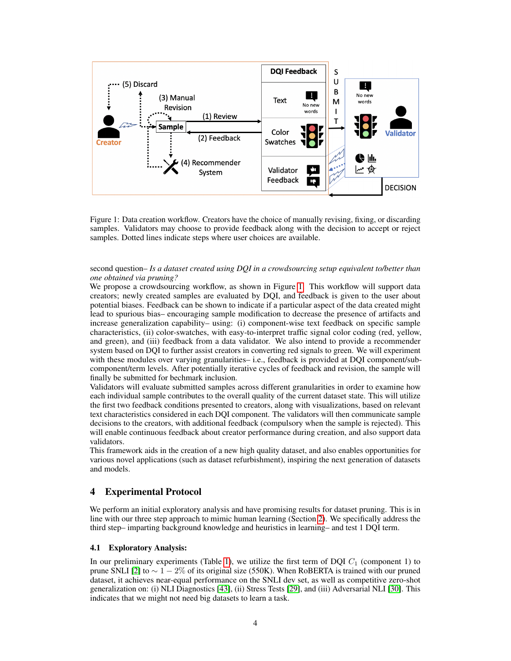

<span id="page-3-0"></span>Figure 1: Data creation workflow. Creators have the choice of manually revising, fixing, or discarding samples. Validators may choose to provide feedback along with the decision to accept or reject samples. Dotted lines indicate steps where user choices are available.

#### second question– *Is a dataset created using DQI in a crowdsourcing setup equivalent to/better than one obtained via pruning?*

We propose a crowdsourcing workflow, as shown in Figure [1.](#page-3-0) This workflow will support data creators; newly created samples are evaluated by DQI, and feedback is given to the user about potential biases. Feedback can be shown to indicate if a particular aspect of the data created might lead to spurious bias– encouraging sample modification to decrease the presence of artifacts and increase generalization capability– using: (i) component-wise text feedback on specific sample characteristics, (ii) color-swatches, with easy-to-interpret traffic signal color coding (red, yellow, and green), and (iii) feedback from a data validator. We also intend to provide a recommender system based on DQI to further assist creators in converting red signals to green. We will experiment with these modules over varying granularities– i.e., feedback is provided at DQI component/subcomponent/term levels. After potentially iterative cycles of feedback and revision, the sample will finally be submitted for bechmark inclusion.

Validators will evaluate submitted samples across different granularities in order to examine how each individual sample contributes to the overall quality of the current dataset state. This will utilize the first two feedback conditions presented to creators, along with visualizations, based on relevant text characteristics considered in each DQI component. The validators will then communicate sample decisions to the creators, with additional feedback (compulsory when the sample is rejected). This will enable continuous feedback about creator performance during creation, and also support data validators.

This framework aids in the creation of a new high quality dataset, and also enables opportunities for various novel applications (such as dataset refurbishment), inspiring the next generation of datasets and models.

## 4 Experimental Protocol

We perform an initial exploratory analysis and have promising results for dataset pruning. This is in line with our three step approach to mimic human learning (Section [2\)](#page-1-0). We specifically address the third step– imparting background knowledge and heuristics in learning– and test 1 DQI term.

### 4.1 Exploratory Analysis:

In our preliminary experiments (Table [1\)](#page-4-1), we utilize the first term of DQI  $C_1$  (component 1) to prune SNLI [\[2\]](#page-5-1) to  $\sim 1-2\%$  of its original size (550K). When RoBERTA is trained with our pruned dataset, it achieves near-equal performance on the SNLI dev set, as well as competitive zero-shot generalization on: (i) NLI Diagnostics [\[43\]](#page-7-2), (ii) Stress Tests [\[29\]](#page-6-17), and (iii) Adversarial NLI [\[30\]](#page-6-15). This indicates that we might not need big datasets to learn a task.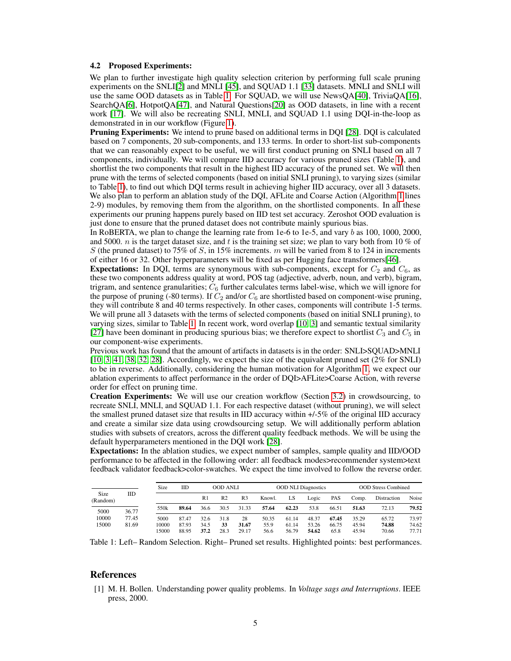#### 4.2 Proposed Experiments:

We plan to further investigate high quality selection criterion by performing full scale pruning experiments on the SNLI[\[2\]](#page-5-1) and MNLI [\[45\]](#page-7-3), and SQUAD 1.1 [\[33\]](#page-6-3) datasets. MNLI and SNLI will use the same OOD datasets as in Table [1.](#page-4-1) For SQUAD, we will use NewsQA[\[40\]](#page-6-18), TriviaQA[\[16\]](#page-5-17), SearchQA[\[6\]](#page-5-18), HotpotQA[\[47\]](#page-7-4), and Natural Questions[\[20\]](#page-5-19) as OOD datasets, in line with a recent work [\[17\]](#page-5-20). We will also be recreating SNLI, MNLI, and SQUAD 1.1 using DQI-in-the-loop as demonstrated in in our workflow (Figure [1\)](#page-3-0).

Pruning Experiments: We intend to prune based on additional terms in DQI [\[28\]](#page-6-6). DQI is calculated based on 7 components, 20 sub-components, and 133 terms. In order to short-list sub-components that we can reasonably expect to be useful, we will first conduct pruning on SNLI based on all 7 components, individually. We will compare IID accuracy for various pruned sizes (Table [1\)](#page-4-1), and shortlist the two components that result in the highest IID accuracy of the pruned set. We will then prune with the terms of selected components (based on initial SNLI pruning), to varying sizes (similar to Table [1\)](#page-4-1), to find out which DQI terms result in achieving higher IID accuracy, over all 3 datasets. We also plan to perform an ablation study of the DQI, AFLite and Coarse Action (Algorithm [1](#page-2-0) lines 2-9) modules, by removing them from the algorithm, on the shortlisted components. In all these experiments our pruning happens purely based on IID test set accuracy. Zeroshot OOD evaluation is just done to ensure that the pruned dataset does not contribute mainly spurious bias.

In RoBERTA, we plan to change the learning rate from 1e-6 to 1e-5, and vary b as 100, 1000, 2000, and 5000. *n* is the target dataset size, and t is the training set size; we plan to vary both from 10 % of S (the pruned dataset) to 75% of S, in 15% increments. m will be varied from 8 to 124 in increments of either 16 or 32. Other hyperparameters will be fixed as per Hugging face transformers[\[46\]](#page-7-5).

**Expectations:** In DQI, terms are synonymous with sub-components, except for  $C_2$  and  $C_6$ , as these two components address quality at word, POS tag (adjective, adverb, noun, and verb), bigram, trigram, and sentence granularities;  $C_6$  further calculates terms label-wise, which we will ignore for the purpose of pruning (-80 terms). If  $C_2$  and/or  $C_6$  are shortlisted based on component-wise pruning, they will contribute 8 and 40 terms respectively. In other cases, components will contribute 1-5 terms. We will prune all 3 datasets with the terms of selected components (based on initial SNLI pruning), to varying sizes, similar to Table [1.](#page-4-1) In recent work, word overlap [\[10,](#page-5-9) [3\]](#page-5-8) and semantic textual similarity [\[27\]](#page-6-19) have been dominant in producing spurious bias; we therefore expect to shortlist  $C_3$  and  $C_5$  in our component-wise experiments.

Previous work has found that the amount of artifacts in datasets is in the order: SNLI>SQUAD>MNLI [\[10,](#page-5-9) [3,](#page-5-8) [41,](#page-6-10) [38,](#page-6-11) [32,](#page-6-9) [28\]](#page-6-6). Accordingly, we expect the size of the equivalent pruned set (2% for SNLI) to be in reverse. Additionally, considering the human motivation for Algorithm [1,](#page-2-0) we expect our ablation experiments to affect performance in the order of DQI>AFLite>Coarse Action, with reverse order for effect on pruning time.

Creation Experiments: We will use our creation workflow (Section [3.2\)](#page-2-1) in crowdsourcing, to recreate SNLI, MNLI, and SQUAD 1.1. For each respective dataset (without pruning), we will select the smallest pruned dataset size that results in IID accuracy within +/-5% of the original IID accuracy and create a similar size data using crowdsourcing setup. We will additionally perform ablation studies with subsets of creators, across the different quality feedback methods. We will be using the default hyperparameters mentioned in the DQI work [\[28\]](#page-6-6).

Expectations: In the ablation studies, we expect number of samples, sample quality and IID/OOD performance to be affected in the following order: all feedback modes>recommender system>text feedback validator feedback>color-swatches. We expect the time involved to follow the reverse order.

|                  |                | Size                   | IID                     | <b>OOD ANLI</b>      |                    |                      | <b>OOD NLI Diagnostics</b> |                         |                         |                        | <b>OOD Stress Combined</b> |                         |                         |
|------------------|----------------|------------------------|-------------------------|----------------------|--------------------|----------------------|----------------------------|-------------------------|-------------------------|------------------------|----------------------------|-------------------------|-------------------------|
| Size<br>(Random) | IID            |                        |                         | R <sub>1</sub>       | R <sub>2</sub>     | R <sub>3</sub>       | Knowl.                     | LS                      | Logic                   | <b>PAS</b>             | Comp.                      | Distraction             | Noise                   |
| 5000             | 36.77          | 550k                   | 89.64                   | 36.6                 | 30.5               | 31.33                | 57.64                      | 62.23                   | 53.8                    | 66.51                  | 51.63                      | 72.13                   | 79.52                   |
| 10000<br>15000   | 77.45<br>81.69 | 5000<br>10000<br>15000 | 87.47<br>87.93<br>88.95 | 32.6<br>34.5<br>37.2 | 31.8<br>33<br>28.3 | 28<br>31.67<br>29.17 | 50.35<br>55.9<br>56.6      | 61.14<br>61.14<br>56.79 | 48.37<br>53.26<br>54.62 | 67.45<br>66.75<br>65.8 | 35.29<br>45.94<br>45.94    | 65.72<br>74.88<br>70.66 | 73.97<br>74.62<br>77.71 |

<span id="page-4-1"></span>Table 1: Left– Random Selection. Right– Pruned set results. Highlighted points: best performances.

#### References

<span id="page-4-0"></span>[1] M. H. Bollen. Understanding power quality problems. In *Voltage sags and Interruptions*. IEEE press, 2000.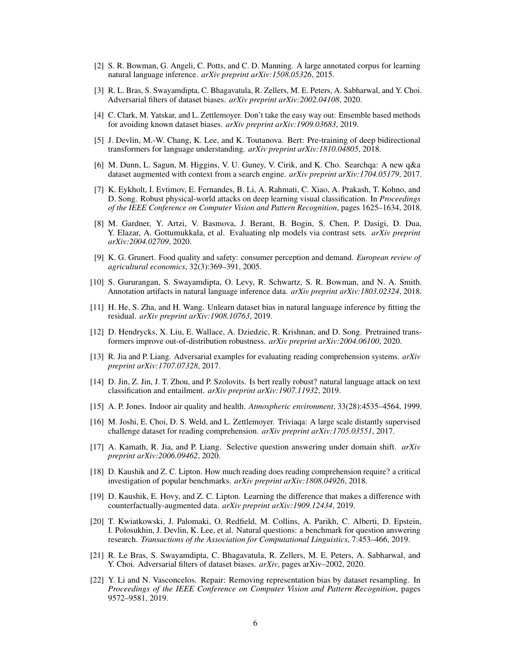- <span id="page-5-1"></span>[2] S. R. Bowman, G. Angeli, C. Potts, and C. D. Manning. A large annotated corpus for learning natural language inference. *arXiv preprint arXiv:1508.05326*, 2015.
- <span id="page-5-8"></span>[3] R. L. Bras, S. Swayamdipta, C. Bhagavatula, R. Zellers, M. E. Peters, A. Sabharwal, and Y. Choi. Adversarial filters of dataset biases. *arXiv preprint arXiv:2002.04108*, 2020.
- <span id="page-5-13"></span>[4] C. Clark, M. Yatskar, and L. Zettlemoyer. Don't take the easy way out: Ensemble based methods for avoiding known dataset biases. *arXiv preprint arXiv:1909.03683*, 2019.
- <span id="page-5-0"></span>[5] J. Devlin, M.-W. Chang, K. Lee, and K. Toutanova. Bert: Pre-training of deep bidirectional transformers for language understanding. *arXiv preprint arXiv:1810.04805*, 2018.
- <span id="page-5-18"></span>[6] M. Dunn, L. Sagun, M. Higgins, V. U. Guney, V. Cirik, and K. Cho. Searchqa: A new q&a dataset augmented with context from a search engine. *arXiv preprint arXiv:1704.05179*, 2017.
- <span id="page-5-3"></span>[7] K. Eykholt, I. Evtimov, E. Fernandes, B. Li, A. Rahmati, C. Xiao, A. Prakash, T. Kohno, and D. Song. Robust physical-world attacks on deep learning visual classification. In *Proceedings of the IEEE Conference on Computer Vision and Pattern Recognition*, pages 1625–1634, 2018.
- <span id="page-5-16"></span>[8] M. Gardner, Y. Artzi, V. Basmova, J. Berant, B. Bogin, S. Chen, P. Dasigi, D. Dua, Y. Elazar, A. Gottumukkala, et al. Evaluating nlp models via contrast sets. *arXiv preprint arXiv:2004.02709*, 2020.
- <span id="page-5-7"></span>[9] K. G. Grunert. Food quality and safety: consumer perception and demand. *European review of agricultural economics*, 32(3):369–391, 2005.
- <span id="page-5-9"></span>[10] S. Gururangan, S. Swayamdipta, O. Levy, R. Schwartz, S. R. Bowman, and N. A. Smith. Annotation artifacts in natural language inference data. *arXiv preprint arXiv:1803.02324*, 2018.
- <span id="page-5-14"></span>[11] H. He, S. Zha, and H. Wang. Unlearn dataset bias in natural language inference by fitting the residual. *arXiv preprint arXiv:1908.10763*, 2019.
- <span id="page-5-5"></span>[12] D. Hendrycks, X. Liu, E. Wallace, A. Dziedzic, R. Krishnan, and D. Song. Pretrained transformers improve out-of-distribution robustness. *arXiv preprint arXiv:2004.06100*, 2020.
- <span id="page-5-2"></span>[13] R. Jia and P. Liang. Adversarial examples for evaluating reading comprehension systems. *arXiv preprint arXiv:1707.07328*, 2017.
- <span id="page-5-4"></span>[14] D. Jin, Z. Jin, J. T. Zhou, and P. Szolovits. Is bert really robust? natural language attack on text classification and entailment. *arXiv preprint arXiv:1907.11932*, 2019.
- <span id="page-5-6"></span>[15] A. P. Jones. Indoor air quality and health. *Atmospheric environment*, 33(28):4535–4564, 1999.
- <span id="page-5-17"></span>[16] M. Joshi, E. Choi, D. S. Weld, and L. Zettlemoyer. Triviaqa: A large scale distantly supervised challenge dataset for reading comprehension. *arXiv preprint arXiv:1705.03551*, 2017.
- <span id="page-5-20"></span>[17] A. Kamath, R. Jia, and P. Liang. Selective question answering under domain shift. *arXiv preprint arXiv:2006.09462*, 2020.
- <span id="page-5-10"></span>[18] D. Kaushik and Z. C. Lipton. How much reading does reading comprehension require? a critical investigation of popular benchmarks. *arXiv preprint arXiv:1808.04926*, 2018.
- <span id="page-5-15"></span>[19] D. Kaushik, E. Hovy, and Z. C. Lipton. Learning the difference that makes a difference with counterfactually-augmented data. *arXiv preprint arXiv:1909.12434*, 2019.
- <span id="page-5-19"></span>[20] T. Kwiatkowski, J. Palomaki, O. Redfield, M. Collins, A. Parikh, C. Alberti, D. Epstein, I. Polosukhin, J. Devlin, K. Lee, et al. Natural questions: a benchmark for question answering research. *Transactions of the Association for Computational Linguistics*, 7:453–466, 2019.
- <span id="page-5-11"></span>[21] R. Le Bras, S. Swayamdipta, C. Bhagavatula, R. Zellers, M. E. Peters, A. Sabharwal, and Y. Choi. Adversarial filters of dataset biases. *arXiv*, pages arXiv–2002, 2020.
- <span id="page-5-12"></span>[22] Y. Li and N. Vasconcelos. Repair: Removing representation bias by dataset resampling. In *Proceedings of the IEEE Conference on Computer Vision and Pattern Recognition*, pages 9572–9581, 2019.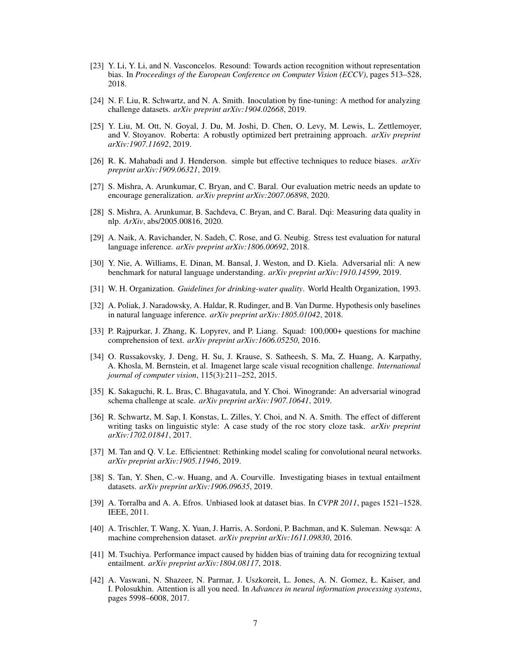- <span id="page-6-13"></span>[23] Y. Li, Y. Li, and N. Vasconcelos. Resound: Towards action recognition without representation bias. In *Proceedings of the European Conference on Computer Vision (ECCV)*, pages 513–528, 2018.
- <span id="page-6-16"></span>[24] N. F. Liu, R. Schwartz, and N. A. Smith. Inoculation by fine-tuning: A method for analyzing challenge datasets. *arXiv preprint arXiv:1904.02668*, 2019.
- <span id="page-6-1"></span>[25] Y. Liu, M. Ott, N. Goyal, J. Du, M. Joshi, D. Chen, O. Levy, M. Lewis, L. Zettlemoyer, and V. Stoyanov. Roberta: A robustly optimized bert pretraining approach. *arXiv preprint arXiv:1907.11692*, 2019.
- <span id="page-6-14"></span>[26] R. K. Mahabadi and J. Henderson. simple but effective techniques to reduce biases. *arXiv preprint arXiv:1909.06321*, 2019.
- <span id="page-6-19"></span>[27] S. Mishra, A. Arunkumar, C. Bryan, and C. Baral. Our evaluation metric needs an update to encourage generalization. *arXiv preprint arXiv:2007.06898*, 2020.
- <span id="page-6-6"></span>[28] S. Mishra, A. Arunkumar, B. Sachdeva, C. Bryan, and C. Baral. Dqi: Measuring data quality in nlp. *ArXiv*, abs/2005.00816, 2020.
- <span id="page-6-17"></span>[29] A. Naik, A. Ravichander, N. Sadeh, C. Rose, and G. Neubig. Stress test evaluation for natural language inference. *arXiv preprint arXiv:1806.00692*, 2018.
- <span id="page-6-15"></span>[30] Y. Nie, A. Williams, E. Dinan, M. Bansal, J. Weston, and D. Kiela. Adversarial nli: A new benchmark for natural language understanding. *arXiv preprint arXiv:1910.14599*, 2019.
- <span id="page-6-5"></span>[31] W. H. Organization. *Guidelines for drinking-water quality*. World Health Organization, 1993.
- <span id="page-6-9"></span>[32] A. Poliak, J. Naradowsky, A. Haldar, R. Rudinger, and B. Van Durme. Hypothesis only baselines in natural language inference. *arXiv preprint arXiv:1805.01042*, 2018.
- <span id="page-6-3"></span>[33] P. Rajpurkar, J. Zhang, K. Lopyrev, and P. Liang. Squad: 100,000+ questions for machine comprehension of text. *arXiv preprint arXiv:1606.05250*, 2016.
- <span id="page-6-2"></span>[34] O. Russakovsky, J. Deng, H. Su, J. Krause, S. Satheesh, S. Ma, Z. Huang, A. Karpathy, A. Khosla, M. Bernstein, et al. Imagenet large scale visual recognition challenge. *International journal of computer vision*, 115(3):211–252, 2015.
- <span id="page-6-12"></span>[35] K. Sakaguchi, R. L. Bras, C. Bhagavatula, and Y. Choi. Winogrande: An adversarial winograd schema challenge at scale. *arXiv preprint arXiv:1907.10641*, 2019.
- <span id="page-6-8"></span>[36] R. Schwartz, M. Sap, I. Konstas, L. Zilles, Y. Choi, and N. A. Smith. The effect of different writing tasks on linguistic style: A case study of the roc story cloze task. *arXiv preprint arXiv:1702.01841*, 2017.
- <span id="page-6-0"></span>[37] M. Tan and Q. V. Le. Efficientnet: Rethinking model scaling for convolutional neural networks. *arXiv preprint arXiv:1905.11946*, 2019.
- <span id="page-6-11"></span>[38] S. Tan, Y. Shen, C.-w. Huang, and A. Courville. Investigating biases in textual entailment datasets. *arXiv preprint arXiv:1906.09635*, 2019.
- <span id="page-6-7"></span>[39] A. Torralba and A. A. Efros. Unbiased look at dataset bias. In *CVPR 2011*, pages 1521–1528. IEEE, 2011.
- <span id="page-6-18"></span>[40] A. Trischler, T. Wang, X. Yuan, J. Harris, A. Sordoni, P. Bachman, and K. Suleman. Newsqa: A machine comprehension dataset. *arXiv preprint arXiv:1611.09830*, 2016.
- <span id="page-6-10"></span>[41] M. Tsuchiya. Performance impact caused by hidden bias of training data for recognizing textual entailment. *arXiv preprint arXiv:1804.08117*, 2018.
- <span id="page-6-4"></span>[42] A. Vaswani, N. Shazeer, N. Parmar, J. Uszkoreit, L. Jones, A. N. Gomez, Ł. Kaiser, and I. Polosukhin. Attention is all you need. In *Advances in neural information processing systems*, pages 5998–6008, 2017.